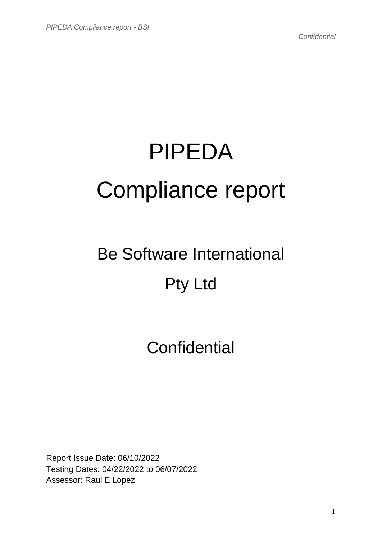# PIPEDA Compliance report

## Be Software International Pty Ltd

### **Confidential**

Report Issue Date: 06/10/2022 Testing Dates: 04/22/2022 to 06/07/2022 Assessor: Raul E Lopez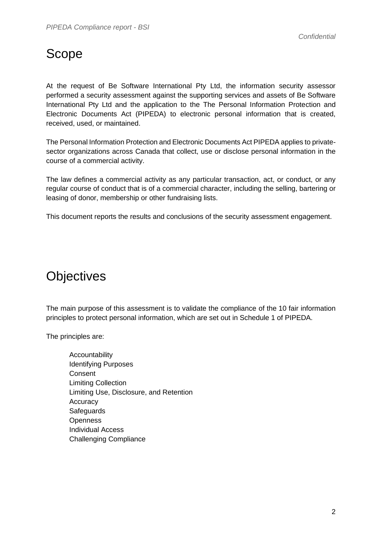#### Scope

At the request of Be Software International Pty Ltd, the information security assessor performed a security assessment against the supporting services and assets of Be Software International Pty Ltd and the application to the The Personal Information Protection and Electronic Documents Act (PIPEDA) to electronic personal information that is created, received, used, or maintained.

The Personal Information Protection and Electronic Documents Act PIPEDA applies to privatesector organizations across Canada that collect, use or disclose personal information in the course of a commercial activity.

The law defines a commercial activity as any particular transaction, act, or conduct, or any regular course of conduct that is of a commercial character, including the selling, bartering or leasing of donor, membership or other fundraising lists.

This document reports the results and conclusions of the security assessment engagement.

#### **Objectives**

The main purpose of this assessment is to validate the compliance of the 10 fair information principles to protect personal information, which are set out in Schedule 1 of PIPEDA.

The principles are:

Accountability Identifying Purposes Consent Limiting Collection Limiting Use, Disclosure, and Retention **Accuracy Safeguards Openness** Individual Access Challenging Compliance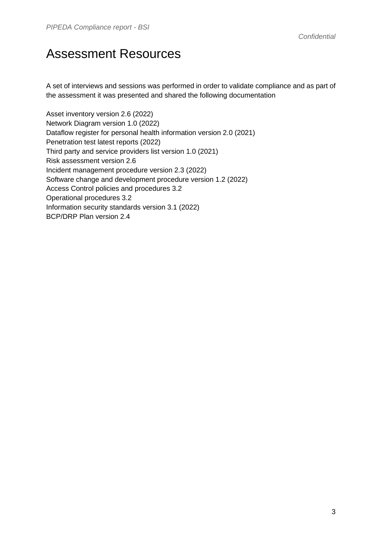#### Assessment Resources

A set of interviews and sessions was performed in order to validate compliance and as part of the assessment it was presented and shared the following documentation

Asset inventory version 2.6 (2022) Network Diagram version 1.0 (2022) Dataflow register for personal health information version 2.0 (2021) Penetration test latest reports (2022) Third party and service providers list version 1.0 (2021) Risk assessment version 2.6 Incident management procedure version 2.3 (2022) Software change and development procedure version 1.2 (2022) Access Control policies and procedures 3.2 Operational procedures 3.2 Information security standards version 3.1 (2022) BCP/DRP Plan version 2.4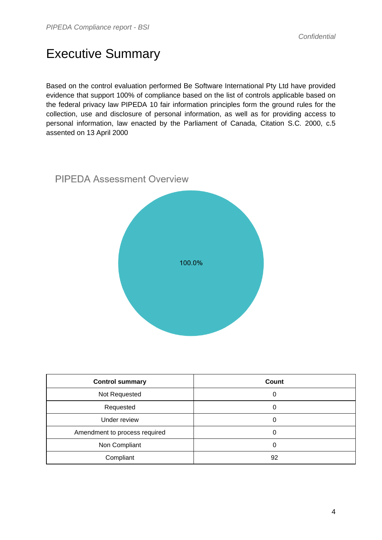#### Executive Summary

Based on the control evaluation performed Be Software International Pty Ltd have provided evidence that support 100% of compliance based on the list of controls applicable based on the federal privacy law PIPEDA 10 fair information principles form the ground rules for the collection, use and disclosure of personal information, as well as for providing access to personal information, law enacted by the Parliament of Canada, Citation S.C. 2000, c.5 assented on 13 April 2000



| <b>Control summary</b>        | Count |
|-------------------------------|-------|
| Not Requested                 | 0     |
| Requested                     | 0     |
| Under review                  | 0     |
| Amendment to process required | 0     |
| Non Compliant                 | 0     |
| Compliant                     | 92    |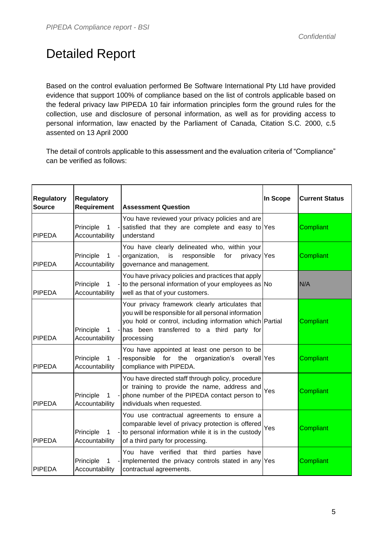#### Detailed Report

Based on the control evaluation performed Be Software International Pty Ltd have provided evidence that support 100% of compliance based on the list of controls applicable based on the federal privacy law PIPEDA 10 fair information principles form the ground rules for the collection, use and disclosure of personal information, as well as for providing access to personal information, law enacted by the Parliament of Canada, Citation S.C. 2000, c.5 assented on 13 April 2000

The detail of controls applicable to this assessment and the evaluation criteria of "Compliance" can be verified as follows:

| <b>Regulatory</b><br><b>Source</b> | <b>Regulatory</b><br>Requirement            | <b>Assessment Question</b>                                                                                                                                                                                                       | In Scope | <b>Current Status</b> |
|------------------------------------|---------------------------------------------|----------------------------------------------------------------------------------------------------------------------------------------------------------------------------------------------------------------------------------|----------|-----------------------|
| <b>PIPEDA</b>                      | Principle<br>$\mathbf{1}$<br>Accountability | You have reviewed your privacy policies and are<br>-satisfied that they are complete and easy to Yes<br>understand                                                                                                               |          | Compliant             |
| <b>PIPEDA</b>                      | Principle<br>$\mathbf 1$<br>Accountability  | You have clearly delineated who, within your<br>- organization,<br>is<br>responsible<br>privacy Yes<br>for<br>governance and management.                                                                                         |          | Compliant             |
| <b>PIPEDA</b>                      | Principle<br>$1 \quad$<br>Accountability    | You have privacy policies and practices that apply<br>- to the personal information of your employees as No<br>well as that of your customers.                                                                                   |          | N/A                   |
| <b>PIPEDA</b>                      | Principle<br>1<br>Accountability            | Your privacy framework clearly articulates that<br>you will be responsible for all personal information<br>you hold or control, including information which Partial<br>- has been transferred to a third party for<br>processing |          | Compliant             |
| <b>PIPEDA</b>                      | Principle<br>1<br>Accountability            | You have appointed at least one person to be<br>- responsible for the organization's overall Yes<br>compliance with PIPEDA.                                                                                                      |          | Compliant             |
| <b>PIPEDA</b>                      | Principle<br>$\mathbf{1}$<br>Accountability | You have directed staff through policy, procedure<br>or training to provide the name, address and<br>- phone number of the PIPEDA contact person to<br>individuals when requested.                                               | Yes      | Compliant             |
| <b>PIPEDA</b>                      | Principle<br>$\mathbf{1}$<br>Accountability | You use contractual agreements to ensure a<br>comparable level of privacy protection is offered<br>- to personal information while it is in the custody<br>of a third party for processing.                                      | Yes      | Compliant             |
| <b>PIPEDA</b>                      | Principle<br>1.<br>Accountability           | You have verified that third<br>parties<br>have<br>- implemented the privacy controls stated in any Yes<br>contractual agreements.                                                                                               |          | Compliant             |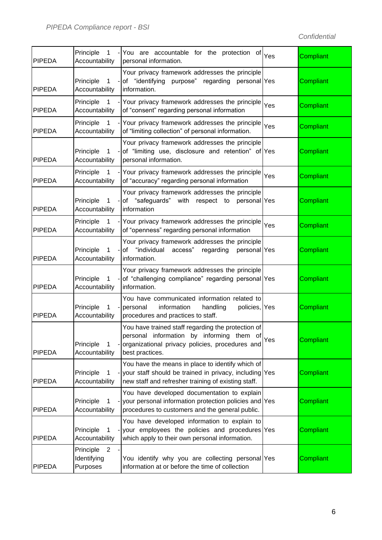| <b>PIPEDA</b> | Principle<br>$\overline{1}$<br>Accountability                | - You are accountable for the protection of<br>personal information.                                                                                                  | Yes | Compliant |
|---------------|--------------------------------------------------------------|-----------------------------------------------------------------------------------------------------------------------------------------------------------------------|-----|-----------|
| <b>PIPEDA</b> | Principle<br>$\mathbf{1}$<br>Accountability                  | Your privacy framework addresses the principle<br>- of "identifying purpose" regarding personal Yes<br>information.                                                   |     | Compliant |
| <b>PIPEDA</b> | Principle<br>$\mathbf{1}$<br>Accountability                  | - Your privacy framework addresses the principle<br>of "consent" regarding personal information                                                                       | Yes | Compliant |
| <b>PIPEDA</b> | Principle<br>$\mathbf{1}$<br>Accountability                  | Your privacy framework addresses the principle<br>of "limiting collection" of personal information.                                                                   | Yes | Compliant |
| <b>PIPEDA</b> | Principle<br>$\mathbf{1}$<br>Accountability                  | Your privacy framework addresses the principle<br>-of "limiting use, disclosure and retention" of Yes<br>personal information.                                        |     | Compliant |
| <b>PIPEDA</b> | Principle<br>$\mathbf{1}$<br>Accountability                  | - Your privacy framework addresses the principle<br>of "accuracy" regarding personal information                                                                      | Yes | Compliant |
| <b>PIPEDA</b> | Principle<br>$\mathbf{1}$<br>Accountability                  | Your privacy framework addresses the principle<br>-of "safeguards" with respect to personal Yes<br>information                                                        |     | Compliant |
| <b>PIPEDA</b> | Principle<br>Accountability                                  | 1 - Your privacy framework addresses the principle<br>of "openness" regarding personal information                                                                    | Yes | Compliant |
| <b>PIPEDA</b> | Principle<br>$\mathbf{1}$<br>Accountability                  | Your privacy framework addresses the principle<br>-of "individual access"<br>regarding<br>personal Yes<br>information.                                                |     | Compliant |
| <b>PIPEDA</b> | Principle<br>$\mathbf{1}$<br>Accountability                  | Your privacy framework addresses the principle<br>- of "challenging compliance" regarding personal Yes<br>information.                                                |     | Compliant |
| <b>PIPEDA</b> | Principle<br>1<br>$\overline{a}$<br>Accountability           | You have communicated information related to<br>information<br>handling<br>policies, Yes<br>personal<br>procedures and practices to staff.                            |     | Compliant |
| <b>PIPEDA</b> | Principle<br>1<br>Accountability                             | You have trained staff regarding the protection of<br>personal information by informing them of<br>organizational privacy policies, procedures and<br>best practices. | Yes | Compliant |
| <b>PIPEDA</b> | Principle<br>1<br>$\overline{\phantom{a}}$<br>Accountability | You have the means in place to identify which of<br>your staff should be trained in privacy, including<br>new staff and refresher training of existing staff.         | Yes | Compliant |
| <b>PIPEDA</b> | Principle<br>1<br>Accountability                             | You have developed documentation to explain<br>- your personal information protection policies and Yes<br>procedures to customers and the general public.             |     | Compliant |
| <b>PIPEDA</b> | Principle<br>1<br>Accountability                             | You have developed information to explain to<br>- your employees the policies and procedures Yes<br>which apply to their own personal information.                    |     | Compliant |
| <b>PIPEDA</b> | $\overline{2}$<br>Principle<br>Identifying<br>Purposes       | You identify why you are collecting personal Yes<br>information at or before the time of collection                                                                   |     | Compliant |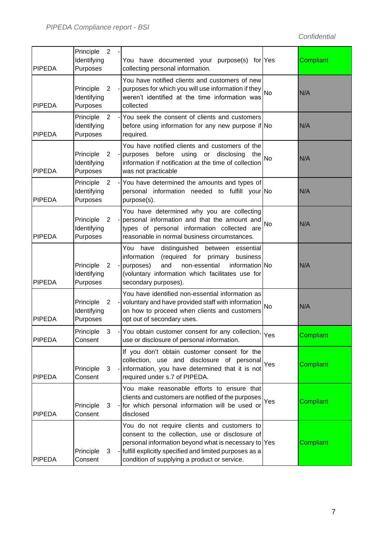| <b>PIPEDA</b> | Principle<br>Identifying<br>Purposes | $\overline{2}$ | You have documented your purpose(s) for Yes<br>collecting personal information.                                                                                                                                                                                    |           | Compliant        |
|---------------|--------------------------------------|----------------|--------------------------------------------------------------------------------------------------------------------------------------------------------------------------------------------------------------------------------------------------------------------|-----------|------------------|
| <b>PIPEDA</b> | Principle<br>Identifying<br>Purposes | $\overline{2}$ | You have notified clients and customers of new<br>- purposes for which you will use information if they<br>weren't identified at the time information was<br>collected                                                                                             | <b>No</b> | N/A              |
| <b>PIPEDA</b> | Principle<br>Identifying<br>Purposes | 2<br>÷,        | You seek the consent of clients and customers<br>before using information for any new purpose if No<br>required.                                                                                                                                                   |           | N/A              |
| <b>PIPEDA</b> | Principle<br>Identifying<br>Purposes | $\overline{2}$ | You have notified clients and customers of the<br>before<br>- purposes<br>using<br>or<br>disclosing<br>the<br>information if notification at the time of collection<br>was not practicable                                                                         | <b>No</b> | N/A              |
| <b>PIPEDA</b> | Principle<br>Identifying<br>Purposes | $\overline{2}$ | - You have determined the amounts and types of<br>personal information needed to fulfill your No<br>purpose(s).                                                                                                                                                    |           | N/A              |
| <b>PIPEDA</b> | Principle<br>Identifying<br>Purposes | $\mathbf{2}$   | You have determined why you are collecting<br>- personal information and that the amount and<br>types of personal information collected are<br>reasonable in normal business circumstances.                                                                        | <b>No</b> | N/A              |
| <b>PIPEDA</b> | Principle<br>Identifying<br>Purposes | $\overline{2}$ | You<br>distinguished<br>have<br>between<br>essential<br>information<br>(required for primary<br>business<br>and<br>information No<br>non-essential<br>- purposes)<br>(voluntary information which facilitates use for<br>secondary purposes).                      |           | N/A              |
| <b>PIPEDA</b> | Principle<br>Identifying<br>Purposes | $\overline{2}$ | You have identified non-essential information as<br>- voluntary and have provided staff with information<br>on how to proceed when clients and customers<br>opt out of secondary uses.                                                                             | <b>No</b> | N/A              |
| <b>PIPEDA</b> | Principle<br>Consent                 | $\mathcal{S}$  | - You obtain customer consent for any collection,<br>use or disclosure of personal information.                                                                                                                                                                    | Yes       | Compliant        |
| <b>PIPEDA</b> | Principle<br>Consent                 | 3              | If you don't obtain customer consent for the<br>collection, use and disclosure of personal<br>- information, you have determined that it is not<br>required under s.7 of PIPEDA.                                                                                   | Yes       | Compliant        |
| <b>PIPEDA</b> | Principle<br>Consent                 | 3              | You make reasonable efforts to ensure that<br>clients and customers are notified of the purposes<br>- for which personal information will be used or<br>disclosed                                                                                                  | Yes       | <b>Compliant</b> |
| <b>PIPEDA</b> | Principle<br>Consent                 | 3              | You do not require clients and customers to<br>consent to the collection, use or disclosure of<br>personal information beyond what is necessary to Yes<br>- fulfill explicitly specified and limited purposes as a<br>condition of supplying a product or service. |           | Compliant        |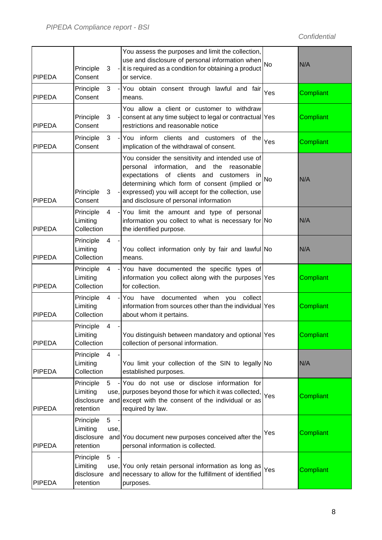| <b>PIPEDA</b> | Principle<br>Consent                             | 3                                          | You assess the purposes and limit the collection,<br>use and disclosure of personal information when<br>- it is required as a condition for obtaining a product<br>or service.                                                                                                                        | <b>No</b> | N/A       |
|---------------|--------------------------------------------------|--------------------------------------------|-------------------------------------------------------------------------------------------------------------------------------------------------------------------------------------------------------------------------------------------------------------------------------------------------------|-----------|-----------|
| <b>PIPEDA</b> | Principle<br>Consent                             | 3<br>$\sim$                                | You obtain consent through lawful and fair<br>means.                                                                                                                                                                                                                                                  | Yes       | Compliant |
| <b>PIPEDA</b> | Principle<br>Consent                             | 3                                          | You allow a client or customer to withdraw<br>- consent at any time subject to legal or contractual Yes<br>restrictions and reasonable notice                                                                                                                                                         |           | Compliant |
| <b>PIPEDA</b> | Principle<br>Consent                             | 3                                          | -You inform clients and customers<br>of the<br>implication of the withdrawal of consent.                                                                                                                                                                                                              | Yes       | Compliant |
| <b>PIPEDA</b> | Principle<br>Consent                             | 3                                          | You consider the sensitivity and intended use of<br>personal<br>information, and the<br>reasonable<br>expectations of clients and customers<br>-in<br>determining which form of consent (implied or<br>- expressed) you will accept for the collection, use<br>and disclosure of personal information | <b>No</b> | N/A       |
| <b>PIPEDA</b> | Principle<br>Limiting<br>Collection              | $\overline{4}$<br>$\overline{\phantom{a}}$ | You limit the amount and type of personal<br>information you collect to what is necessary for No<br>the identified purpose.                                                                                                                                                                           |           | N/A       |
| <b>PIPEDA</b> | Principle<br>Limiting<br>Collection              | $\overline{4}$                             | You collect information only by fair and lawful No<br>means.                                                                                                                                                                                                                                          |           | N/A       |
| <b>PIPEDA</b> | Principle<br>Limiting<br>Collection              | $\overline{4}$                             | - You have documented the specific types of<br>information you collect along with the purposes Yes<br>for collection.                                                                                                                                                                                 |           | Compliant |
| <b>PIPEDA</b> | Principle<br>Limiting<br>Collection              | 4                                          | - You have<br>documented<br>when<br>collect<br>you<br>information from sources other than the individual  Yes<br>about whom it pertains.                                                                                                                                                              |           | Compliant |
| <b>PIPEDA</b> | Principle<br>Limiting<br>Collection              | 4                                          | You distinguish between mandatory and optional Yes<br>collection of personal information.                                                                                                                                                                                                             |           | Compliant |
| <b>PIPEDA</b> | Principle<br>Limiting<br>Collection              | $\overline{4}$                             | You limit your collection of the SIN to legally No<br>established purposes.                                                                                                                                                                                                                           |           | N/A       |
| <b>PIPEDA</b> | Principle<br>Limiting<br>disclosure<br>retention | $5^{\circ}$                                | -You do not use or disclose information for<br>use, purposes beyond those for which it was collected,<br>and except with the consent of the individual or as<br>required by law.                                                                                                                      | Yes       | Compliant |
| <b>PIPEDA</b> | Principle<br>Limiting<br>disclosure<br>retention | 5<br>use,                                  | and You document new purposes conceived after the<br>personal information is collected.                                                                                                                                                                                                               | Yes       | Compliant |
| <b>PIPEDA</b> | Principle<br>Limiting<br>disclosure<br>retention | 5                                          | use, You only retain personal information as long as<br>and necessary to allow for the fulfillment of identified<br>purposes.                                                                                                                                                                         | Yes       | Compliant |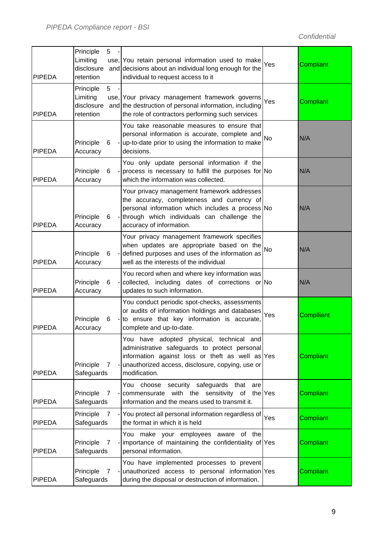| <b>PIPEDA</b> | Principle<br>Limiting<br>disclosure<br>retention | 5              | use, You retain personal information used to make<br>and decisions about an individual long enough for the<br>individual to request access to it                                                                           | Yes       | Compliant  |
|---------------|--------------------------------------------------|----------------|----------------------------------------------------------------------------------------------------------------------------------------------------------------------------------------------------------------------------|-----------|------------|
| <b>PIPEDA</b> | Principle<br>Limiting<br>disclosure<br>retention | 5 <sub>5</sub> | use, Your privacy management framework governs<br>and the destruction of personal information, including<br>the role of contractors performing such services                                                               | Yes       | Compliant  |
| <b>PIPEDA</b> | Principle<br>Accuracy                            | 6              | You take reasonable measures to ensure that<br>personal information is accurate, complete and<br>- up-to-date prior to using the information to make<br>decisions.                                                         | <b>No</b> | N/A        |
| <b>PIPEDA</b> | Principle<br>Accuracy                            | 6              | You only update personal information if the<br>- process is necessary to fulfill the purposes for No<br>which the information was collected.                                                                               |           | N/A        |
| <b>PIPEDA</b> | Principle<br>Accuracy                            | 6              | Your privacy management framework addresses<br>the accuracy, completeness and currency of<br>personal information which includes a process No<br>- through which individuals can challenge the<br>accuracy of information. |           | N/A        |
| <b>PIPEDA</b> | Principle<br>Accuracy                            | 6              | Your privacy management framework specifies<br>when updates are appropriate based on the<br>- defined purposes and uses of the information as<br>well as the interests of the individual                                   | <b>No</b> | N/A        |
| <b>PIPEDA</b> | Principle<br>Accuracy                            | 6              | You record when and where key information was<br>- collected, including dates of corrections or No<br>updates to such information.                                                                                         |           | N/A        |
| <b>PIPEDA</b> | Principle<br>Accuracy                            | 6              | You conduct periodic spot-checks, assessments<br>or audits of information holdings and databases<br>- to ensure that key information is accurate,<br>complete and up-to-date.                                              | Yes       | Complliant |
| <b>PIPEDA</b> | Principle<br>Safeguards                          | 7              | You have adopted physical, technical and<br>administrative safeguards to protect personal<br>information against loss or theft as well as Yes<br>- unauthorized access, disclosure, copying, use or<br>modification.       |           | Compliant  |
| <b>PIPEDA</b> | Principle<br>Safeguards                          | 7              | You choose security safeguards that<br>are<br>- commensurate with the sensitivity of the Yes<br>information and the means used to transmit it.                                                                             |           | Compliant  |
| <b>PIPEDA</b> | Principle<br>Safeguards                          | <sup>7</sup>   | - You protect all personal information regardless of Yes<br>the format in which it is held                                                                                                                                 |           | Compliant  |
| <b>PIPEDA</b> | Principle<br>Safeguards                          | 7              | You make your employees aware of the<br>- importance of maintaining the confidentiality of Yes<br>personal information.                                                                                                    |           | Compliant  |
| <b>PIPEDA</b> | Principle<br>Safeguards                          | 7              | You have implemented processes to prevent<br>- unauthorized access to personal information Yes<br>during the disposal or destruction of information.                                                                       |           | Compliant  |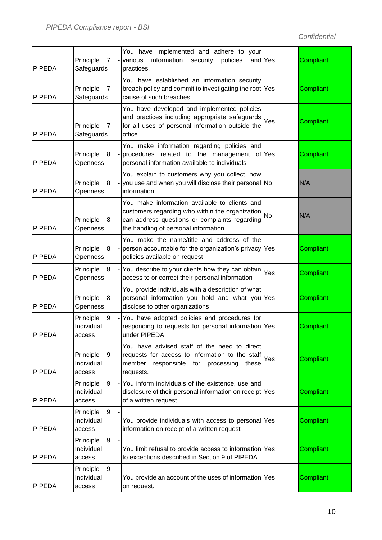| <b>PIPEDA</b> | Principle<br>$\overline{7}$<br>Safeguards                | You have implemented and adhere to your<br>information<br>- various<br>security<br>policies<br>practices.                                                                                        | and Yes | Compliant |
|---------------|----------------------------------------------------------|--------------------------------------------------------------------------------------------------------------------------------------------------------------------------------------------------|---------|-----------|
| <b>PIPEDA</b> | Principle<br>7<br>Safeguards                             | You have established an information security<br>- breach policy and commit to investigating the root Yes<br>cause of such breaches.                                                              |         | Compliant |
| <b>PIPEDA</b> | Principle<br>$\overline{7}$<br>Safeguards                | You have developed and implemented policies<br>and practices including appropriate safeguards Yes<br>- for all uses of personal information outside the<br>office                                |         | Compliant |
| <b>PIPEDA</b> | Principle<br>8<br>Openness                               | You make information regarding policies and<br>- procedures related to the management of Yes<br>personal information available to individuals                                                    |         | Compliant |
| <b>PIPEDA</b> | Principle<br>8<br>Openness                               | You explain to customers why you collect, how<br>- you use and when you will disclose their personal No<br>information.                                                                          |         | N/A       |
| <b>PIPEDA</b> | Principle<br>8<br>Openness                               | You make information available to clients and<br>customers regarding who within the organization $N$<br>- can address questions or complaints regarding<br>the handling of personal information. |         | N/A       |
| <b>PIPEDA</b> | Principle<br>8<br>Openness                               | You make the name/title and address of the<br>- person accountable for the organization's privacy Yes<br>policies available on request                                                           |         | Compliant |
| <b>PIPEDA</b> | Principle<br>8<br>Openness                               | - You describe to your clients how they can obtain<br>access to or correct their personal information                                                                                            | Yes     | Compliant |
| <b>PIPEDA</b> | Principle<br>8<br>Openness                               | You provide individuals with a description of what<br>- personal information you hold and what you Yes<br>disclose to other organizations                                                        |         | Compliant |
| <b>PIPEDA</b> | Principle<br>9<br>Individual<br>access                   | - You have adopted policies and procedures for<br>responding to requests for personal information Yes<br>under PIPEDA                                                                            |         | Compliant |
| <b>PIPEDA</b> | Principle<br>9<br>Individual<br>access                   | You have advised staff of the need to direct<br>- requests for access to information to the staff<br>responsible for processing<br>member<br>these<br>requests.                                  | Yes     | Compliant |
| <b>PIPEDA</b> | Principle<br>9<br>$\overline{a}$<br>Individual<br>access | You inform individuals of the existence, use and<br>disclosure of their personal information on receipt Yes<br>of a written request                                                              |         | Compliant |
| <b>PIPEDA</b> | 9<br>Principle<br>Individual<br>access                   | You provide individuals with access to personal Yes<br>information on receipt of a written request                                                                                               |         | Compliant |
| <b>PIPEDA</b> | 9<br>Principle<br>Individual<br>access                   | You limit refusal to provide access to information Yes<br>to exceptions described in Section 9 of PIPEDA                                                                                         |         | Compliant |
| <b>PIPEDA</b> | 9<br>Principle<br>Individual<br>access                   | You provide an account of the uses of information Yes<br>on request.                                                                                                                             |         | Compliant |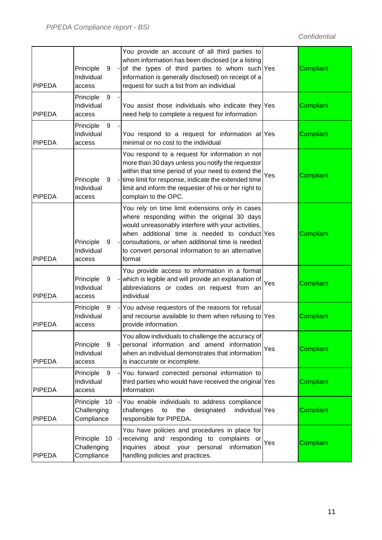| <b>PIPEDA</b> | Principle<br>9<br>Individual<br>access       | You provide an account of all third parties to<br>whom information has been disclosed (or a listing<br>-of the types of third parties to whom such Yes<br>information is generally disclosed) on receipt of a<br>request for such a list from an individual                                                                 |     | Compliant        |
|---------------|----------------------------------------------|-----------------------------------------------------------------------------------------------------------------------------------------------------------------------------------------------------------------------------------------------------------------------------------------------------------------------------|-----|------------------|
| <b>PIPEDA</b> | 9<br>Principle<br>Individual<br>access       | You assist those individuals who indicate they Yes<br>need help to complete a request for information                                                                                                                                                                                                                       |     | Compliant        |
| <b>PIPEDA</b> | 9<br>Principle<br>Individual<br>access       | You respond to a request for information at Yes<br>minimal or no cost to the individual                                                                                                                                                                                                                                     |     | Compliant        |
| <b>PIPEDA</b> | Principle<br>9<br>Individual<br>access       | You respond to a request for information in not<br>more than 30 days unless you notify the requestor<br>within that time period of your need to extend the<br>- time limit for response, indicate the extended time<br>limit and inform the requester of his or her right to<br>complain to the OPC.                        | Yes | Compliant        |
| <b>PIPEDA</b> | Principle<br>9<br>Individual<br>access       | You rely on time limit extensions only in cases<br>where responding within the original 30 days<br>would unreasonably interfere with your activities,<br>when additional time is needed to conduct Yes<br>- consultations, or when additional time is needed<br>to convert personal information to an alternative<br>format |     | Compliant        |
| <b>PIPEDA</b> | Principle<br>9<br>Individual<br>access       | You provide access to information in a format<br>- which is legible and will provide an explanation of<br>abbreviations or codes on request from an<br>individual                                                                                                                                                           | Yes | Compliant        |
| <b>PIPEDA</b> | Principle<br>9<br>Individual<br>access       | - You advise requestors of the reasons for refusal<br>and recourse available to them when refusing to Yes<br>provide information.                                                                                                                                                                                           |     | Compliant        |
| <b>PIPEDA</b> | Principle<br>9<br>Individual<br>access       | You allow individuals to challenge the accuracy of<br>personal information and amend information<br>when an individual demonstrates that information<br>is inaccurate or incomplete.                                                                                                                                        | Yes | <b>Compliant</b> |
| <b>PIPEDA</b> | Principle<br>9<br>Individual<br>access       | - You forward corrected personal information to<br>third parties who would have received the original Yes<br>information                                                                                                                                                                                                    |     | Compliant        |
| <b>PIPEDA</b> | Principle<br>10<br>Challenging<br>Compliance | - You enable individuals to address compliance<br>challenges<br>designated<br>individual Yes<br>the<br>to<br>responsible for PIPEDA.                                                                                                                                                                                        |     | Compliant        |
| <b>PIPEDA</b> | Principle 10<br>Challenging<br>Compliance    | You have policies and procedures in place for<br>- receiving<br>and responding to complaints or<br>inquiries<br>about your<br>information<br>personal<br>handling policies and practices.                                                                                                                                   | Yes | Compliant        |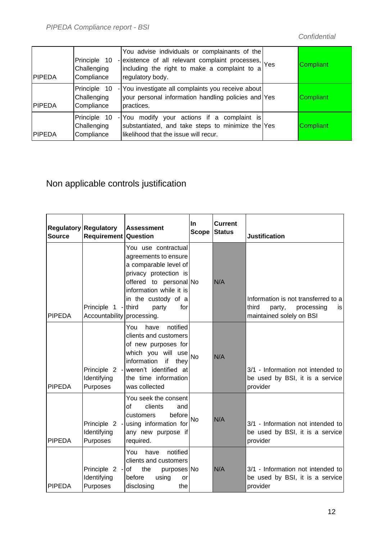| <b>IPIPEDA</b> | Principle 10<br>Challenging<br>Compliance | You advise individuals or complainants of the<br>- existence of all relevant complaint processes, Yes<br>including the right to make a complaint to a<br>regulatory body. | Compliant |
|----------------|-------------------------------------------|---------------------------------------------------------------------------------------------------------------------------------------------------------------------------|-----------|
| <b>IPIPEDA</b> | Principle 10<br>Challenging<br>Compliance | - You investigate all complaints you receive about<br>your personal information handling policies and Yes<br>practices.                                                   | Compliant |
| <b>IPIPEDA</b> | Principle 10<br>Challenging<br>Compliance | - You modify your actions if a complaint is<br>substantiated, and take steps to minimize the Yes<br>likelihood that the issue will recur.                                 | Compliant |

#### Non applicable controls justification

| <b>Source</b> | <b>Regulatory Regulatory</b><br><b>Requirement Question</b> | <b>Assessment</b>                                                                                                                                                                                          | <b>In</b><br><b>Scope</b> | <b>Current</b><br><b>Status</b> | <b>Justification</b>                                                                                    |
|---------------|-------------------------------------------------------------|------------------------------------------------------------------------------------------------------------------------------------------------------------------------------------------------------------|---------------------------|---------------------------------|---------------------------------------------------------------------------------------------------------|
| <b>PIPEDA</b> | Principle 1 - third<br>Accountability processing.           | You use contractual<br>agreements to ensure<br>a comparable level of<br>privacy protection is<br>offered to personal No<br>information while it is<br>in the custody of a<br>for<br>party                  |                           | N/A                             | Information is not transferred to a<br>third<br>party,<br>processing<br>İS.<br>maintained solely on BSI |
| <b>PIPEDA</b> | Identifying<br>Purposes                                     | You<br>notified<br>have<br>clients and customers<br>of new purposes for<br>which you will use<br>information<br>if<br>they<br>Principle 2 - weren't identified at<br>the time information<br>was collected | <b>No</b>                 | N/A                             | 3/1 - Information not intended to<br>be used by BSI, it is a service<br>provider                        |
| <b>PIPEDA</b> | Identifying<br>Purposes                                     | You seek the consent<br>οf<br>clients<br>and<br>before<br>customers<br>Principle 2 - using information for<br>any new purpose if<br>required.                                                              | <b>No</b>                 | N/A                             | 3/1 - Information not intended to<br>be used by BSI, it is a service<br>provider                        |
| <b>PIPEDA</b> | Principle $2 - of$<br>Identifying<br>Purposes               | You<br>notified<br>have<br>clients and customers<br>the<br>purposes No<br>before<br>using<br>or<br>disclosing<br>the                                                                                       |                           | N/A                             | 3/1 - Information not intended to<br>be used by BSI, it is a service<br>provider                        |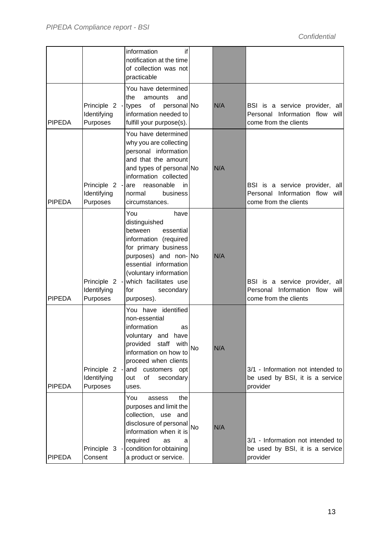|               |                                                   | information<br>if<br>notification at the time<br>of collection was not<br>practicable                                                                                                                                                       |           |     |                                                                                           |
|---------------|---------------------------------------------------|---------------------------------------------------------------------------------------------------------------------------------------------------------------------------------------------------------------------------------------------|-----------|-----|-------------------------------------------------------------------------------------------|
| <b>PIPEDA</b> | Principle 2 - types of<br>Identifying<br>Purposes | You have determined<br>the<br>amounts<br>and<br>personal No<br>information needed to<br>fulfill your purpose(s).                                                                                                                            |           | N/A | BSI is a service provider, all<br>Personal Information flow will<br>come from the clients |
| <b>PIPEDA</b> | Principle 2 -<br>Identifying<br>Purposes          | You have determined<br>why you are collecting<br>personal information<br>and that the amount<br>and types of personal No<br>information collected<br>reasonable<br>in<br>are<br>normal<br>business<br>circumstances.                        |           | N/A | BSI is a service provider, all<br>Personal Information flow will<br>come from the clients |
| <b>PIPEDA</b> | Principle 2 -<br>Identifying<br>Purposes          | You<br>have<br>distinguished<br>between<br>essential<br>information (required<br>for primary business<br>purposes) and non-No<br>essential information<br>(voluntary information<br>which facilitates use<br>secondary<br>for<br>purposes). |           | N/A | BSI is a service provider, all<br>Personal Information flow will<br>come from the clients |
| <b>PIPEDA</b> | Principle 2 -<br>Identifying<br>Purposes          | You have identified<br>non-essential<br>information<br>as<br>voluntary and have<br>provided<br>staff<br>with<br>information on how to<br>proceed when clients<br>and<br>customers opt<br>of<br>out<br>secondary<br>uses.                    | <b>No</b> | N/A | 3/1 - Information not intended to<br>be used by BSI, it is a service<br>provider          |
| <b>PIPEDA</b> | Consent                                           | You<br>the<br>assess<br>purposes and limit the<br>collection, use and<br>disclosure of personal<br>information when it is<br>required<br>as<br>a<br>Principle 3 - condition for obtaining<br>a product or service.                          | <b>No</b> | N/A | 3/1 - Information not intended to<br>be used by BSI, it is a service<br>provider          |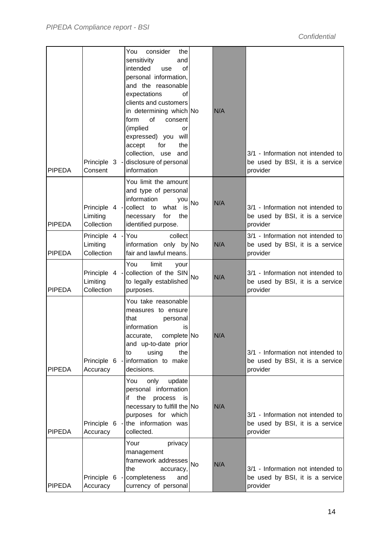| <b>PIPEDA</b> | Consent                                     | You<br>consider<br>the<br>sensitivity<br>and<br>intended<br>use<br>οf<br>personal information,<br>and the reasonable<br>expectations<br>0f<br>clients and customers<br>in determining which No<br>form<br>of<br>consent<br>(implied<br>or<br>expressed) you will<br>accept<br>for<br>the<br>collection, use<br>and<br>Principle 3 - disclosure of personal<br>information |           | N/A | 3/1 - Information not intended to<br>be used by BSI, it is a service<br>provider |
|---------------|---------------------------------------------|---------------------------------------------------------------------------------------------------------------------------------------------------------------------------------------------------------------------------------------------------------------------------------------------------------------------------------------------------------------------------|-----------|-----|----------------------------------------------------------------------------------|
| <b>PIPEDA</b> | Limiting<br>Collection                      | You limit the amount<br>and type of personal<br>information<br>you<br>Principle 4 - collect to what is<br>for<br>necessary<br>the<br>identified purpose.                                                                                                                                                                                                                  | <b>No</b> | N/A | 3/1 - Information not intended to<br>be used by BSI, it is a service<br>provider |
| <b>PIPEDA</b> | Principle 4 - You<br>Limiting<br>Collection | collect<br>information only by No<br>fair and lawful means.                                                                                                                                                                                                                                                                                                               |           | N/A | 3/1 - Information not intended to<br>be used by BSI, it is a service<br>provider |
| <b>PIPEDA</b> | Limiting<br>Collection                      | You<br>limit<br>your<br>Principle 4 - collection of the SIN<br>to legally established<br>purposes.                                                                                                                                                                                                                                                                        | <b>No</b> | N/A | 3/1 - Information not intended to<br>be used by BSI, it is a service<br>provider |
| <b>PIPEDA</b> | Principle 6 -<br>Accuracy                   | You take reasonable<br>measures to ensure<br>that<br>personal<br>information<br>is<br>complete No<br>accurate,<br>and up-to-date prior<br>using<br>the<br>to<br>information to make<br>decisions.                                                                                                                                                                         |           | N/A | 3/1 - Information not intended to<br>be used by BSI, it is a service<br>provider |
| <b>PIPEDA</b> | Principle 6 -<br>Accuracy                   | You<br>only<br>update<br>personal information<br>the<br>process is<br>if<br>necessary to fulfill the No<br>purposes for which<br>the information was<br>collected.                                                                                                                                                                                                        |           | N/A | 3/1 - Information not intended to<br>be used by BSI, it is a service<br>provider |
| <b>PIPEDA</b> | Principle 6 -<br>Accuracy                   | Your<br>privacy<br>management<br>framework addresses No<br>the<br>accuracy,<br>completeness<br>and<br>currency of personal                                                                                                                                                                                                                                                |           | N/A | 3/1 - Information not intended to<br>be used by BSI, it is a service<br>provider |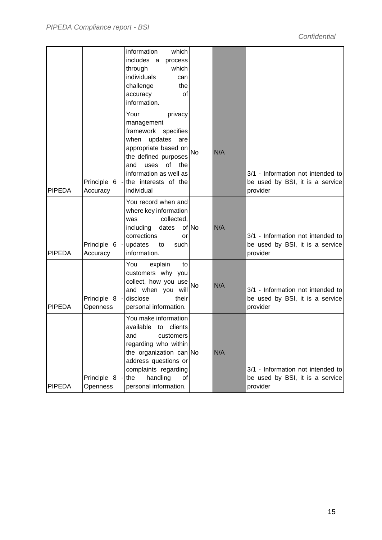|               |                           | information<br>which<br>includes a<br>process<br>through<br>which<br>individuals<br>can<br>challenge<br>the<br>accuracy<br>0f<br>information.                                                                                         |           |     |                                                                                  |
|---------------|---------------------------|---------------------------------------------------------------------------------------------------------------------------------------------------------------------------------------------------------------------------------------|-----------|-----|----------------------------------------------------------------------------------|
| <b>PIPEDA</b> | Accuracy                  | Your<br>privacy<br>management<br>framework specifies<br>when<br>updates<br>are<br>appropriate based on<br>the defined purposes<br>of the<br>and<br>uses<br>information as well as<br>Principle 6 - the interests of the<br>individual | <b>No</b> | N/A | 3/1 - Information not intended to<br>be used by BSI, it is a service<br>provider |
| <b>PIPEDA</b> | Accuracy                  | You record when and<br>where key information<br>collected,<br>was<br>including<br>dates<br>corrections<br>or<br>Principle 6 - updates to<br>such<br>information.                                                                      | of No     | N/A | 3/1 - Information not intended to<br>be used by BSI, it is a service<br>provider |
| <b>PIPEDA</b> | Principle 8 -<br>Openness | You<br>explain<br>to<br>customers why you<br>collect, how you use<br>and when you will<br>disclose<br>their<br>personal information.                                                                                                  | No        | N/A | 3/1 - Information not intended to<br>be used by BSI, it is a service<br>provider |
| <b>PIPEDA</b> | Principle 8 -<br>Openness | You make information<br>available to clients<br>and<br>customers<br>regarding who within<br>the organization can No<br>address questions or<br>complaints regarding<br>handling<br>the<br>οf<br>personal information.                 |           | N/A | 3/1 - Information not intended to<br>be used by BSI, it is a service<br>provider |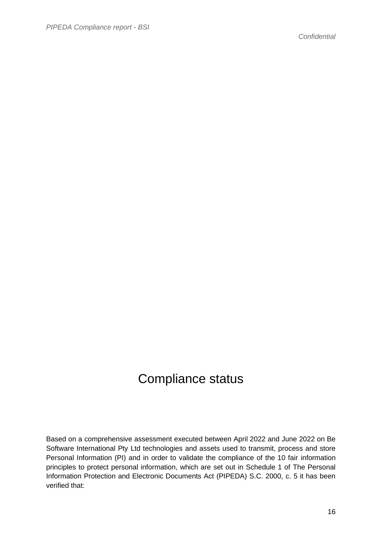#### Compliance status

Based on a comprehensive assessment executed between April 2022 and June 2022 on Be Software International Pty Ltd technologies and assets used to transmit, process and store Personal Information (PI) and in order to validate the compliance of the 10 fair information principles to protect personal information, which are set out in Schedule 1 of The Personal Information Protection and Electronic Documents Act (PIPEDA) S.C. 2000, c. 5 it has been verified that: